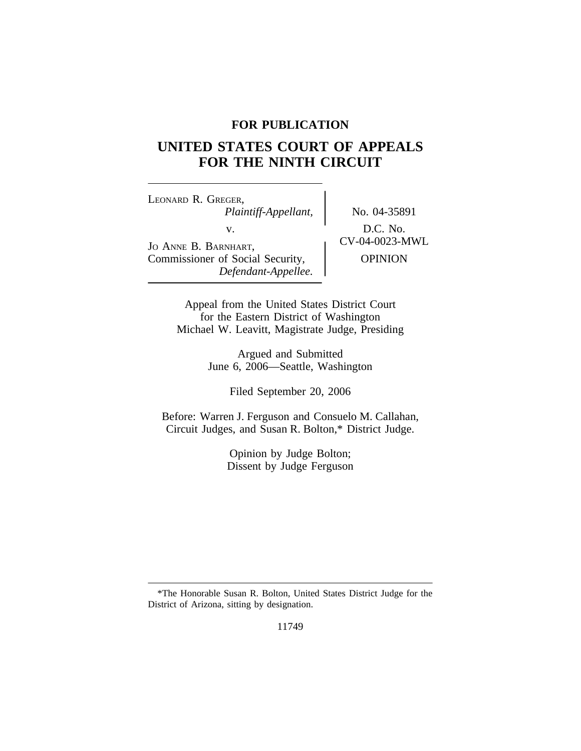# **FOR PUBLICATION**

# **UNITED STATES COURT OF APPEALS FOR THE NINTH CIRCUIT**

<sup>L</sup>EONARD R. GREGER, *Plaintiff-Appellant,* No. 04-35891 V.<br>
JO ANNE B. BARNHART, CV-04-0023-MWL Commissioner of Social Security,  $\qquad$  OPINION *Defendant-Appellee.*

Appeal from the United States District Court for the Eastern District of Washington Michael W. Leavitt, Magistrate Judge, Presiding

> Argued and Submitted June 6, 2006—Seattle, Washington

> > Filed September 20, 2006

Before: Warren J. Ferguson and Consuelo M. Callahan, Circuit Judges, and Susan R. Bolton,\* District Judge.

> Opinion by Judge Bolton; Dissent by Judge Ferguson

<sup>\*</sup>The Honorable Susan R. Bolton, United States District Judge for the District of Arizona, sitting by designation.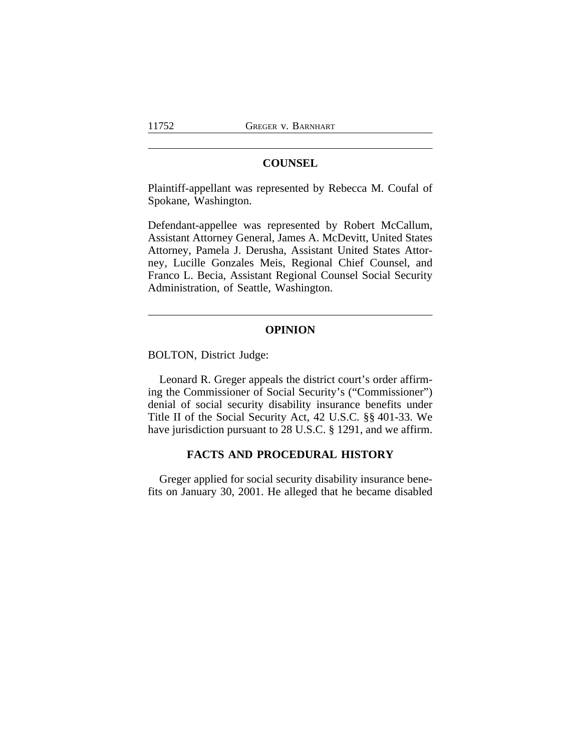## **COUNSEL**

Plaintiff-appellant was represented by Rebecca M. Coufal of Spokane, Washington.

Defendant-appellee was represented by Robert McCallum, Assistant Attorney General, James A. McDevitt, United States Attorney, Pamela J. Derusha, Assistant United States Attorney, Lucille Gonzales Meis, Regional Chief Counsel, and Franco L. Becia, Assistant Regional Counsel Social Security Administration, of Seattle, Washington.

## **OPINION**

BOLTON, District Judge:

Leonard R. Greger appeals the district court's order affirming the Commissioner of Social Security's ("Commissioner") denial of social security disability insurance benefits under Title II of the Social Security Act, 42 U.S.C. §§ 401-33. We have jurisdiction pursuant to 28 U.S.C. § 1291, and we affirm.

## **FACTS AND PROCEDURAL HISTORY**

Greger applied for social security disability insurance benefits on January 30, 2001. He alleged that he became disabled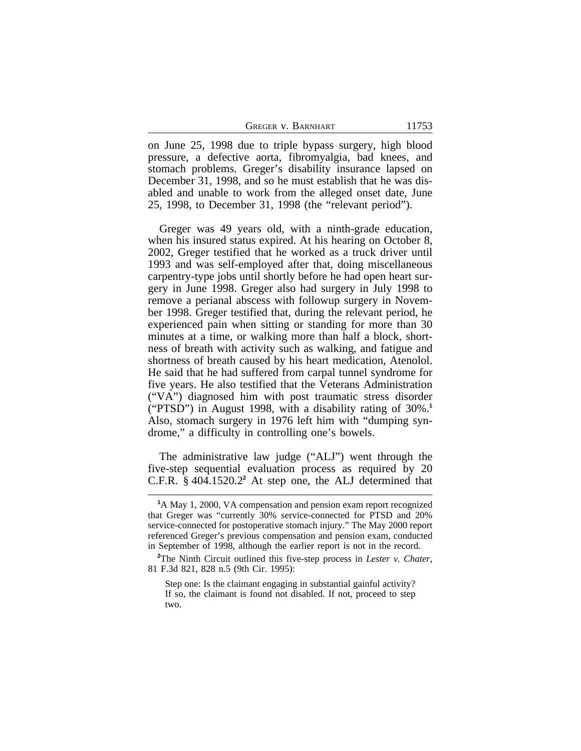| GREGER V. BARNHART | 11753 |
|--------------------|-------|
|--------------------|-------|

on June 25, 1998 due to triple bypass surgery, high blood pressure, a defective aorta, fibromyalgia, bad knees, and stomach problems. Greger's disability insurance lapsed on December 31, 1998, and so he must establish that he was disabled and unable to work from the alleged onset date, June 25, 1998, to December 31, 1998 (the "relevant period").

Greger was 49 years old, with a ninth-grade education, when his insured status expired. At his hearing on October 8, 2002, Greger testified that he worked as a truck driver until 1993 and was self-employed after that, doing miscellaneous carpentry-type jobs until shortly before he had open heart surgery in June 1998. Greger also had surgery in July 1998 to remove a perianal abscess with followup surgery in November 1998. Greger testified that, during the relevant period, he experienced pain when sitting or standing for more than 30 minutes at a time, or walking more than half a block, shortness of breath with activity such as walking, and fatigue and shortness of breath caused by his heart medication, Atenolol. He said that he had suffered from carpal tunnel syndrome for five years. He also testified that the Veterans Administration ("VA") diagnosed him with post traumatic stress disorder ("PTSD") in August 1998, with a disability rating of 30%.**<sup>1</sup>** Also, stomach surgery in 1976 left him with "dumping syndrome," a difficulty in controlling one's bowels.

The administrative law judge ("ALJ") went through the five-step sequential evaluation process as required by 20 C.F.R.  $§$  404.1520.2 $^2$  At step one, the ALJ determined that

**<sup>1</sup>**A May 1, 2000, VA compensation and pension exam report recognized that Greger was "currently 30% service-connected for PTSD and 20% service-connected for postoperative stomach injury." The May 2000 report referenced Greger's previous compensation and pension exam, conducted in September of 1998, although the earlier report is not in the record.

**<sup>2</sup>**The Ninth Circuit outlined this five-step process in *Lester v. Chater*, 81 F.3d 821, 828 n.5 (9th Cir. 1995):

Step one: Is the claimant engaging in substantial gainful activity? If so, the claimant is found not disabled. If not, proceed to step two.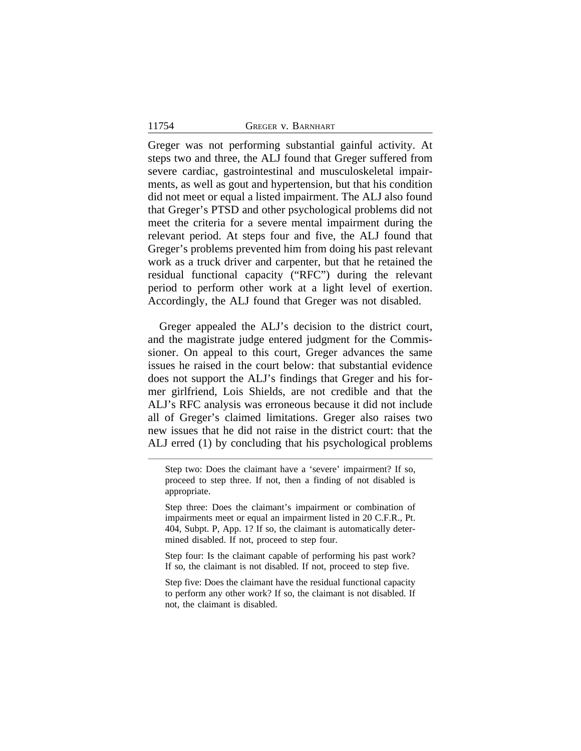Greger was not performing substantial gainful activity. At steps two and three, the ALJ found that Greger suffered from severe cardiac, gastrointestinal and musculoskeletal impairments, as well as gout and hypertension, but that his condition did not meet or equal a listed impairment. The ALJ also found that Greger's PTSD and other psychological problems did not meet the criteria for a severe mental impairment during the relevant period. At steps four and five, the ALJ found that Greger's problems prevented him from doing his past relevant work as a truck driver and carpenter, but that he retained the residual functional capacity ("RFC") during the relevant period to perform other work at a light level of exertion. Accordingly, the ALJ found that Greger was not disabled.

Greger appealed the ALJ's decision to the district court, and the magistrate judge entered judgment for the Commissioner. On appeal to this court, Greger advances the same issues he raised in the court below: that substantial evidence does not support the ALJ's findings that Greger and his former girlfriend, Lois Shields, are not credible and that the ALJ's RFC analysis was erroneous because it did not include all of Greger's claimed limitations. Greger also raises two new issues that he did not raise in the district court: that the ALJ erred (1) by concluding that his psychological problems

Step two: Does the claimant have a 'severe' impairment? If so, proceed to step three. If not, then a finding of not disabled is appropriate.

Step three: Does the claimant's impairment or combination of impairments meet or equal an impairment listed in 20 C.F.R., Pt. 404, Subpt. P, App. 1? If so, the claimant is automatically determined disabled. If not, proceed to step four.

Step four: Is the claimant capable of performing his past work? If so, the claimant is not disabled. If not, proceed to step five.

Step five: Does the claimant have the residual functional capacity to perform any other work? If so, the claimant is not disabled. If not, the claimant is disabled.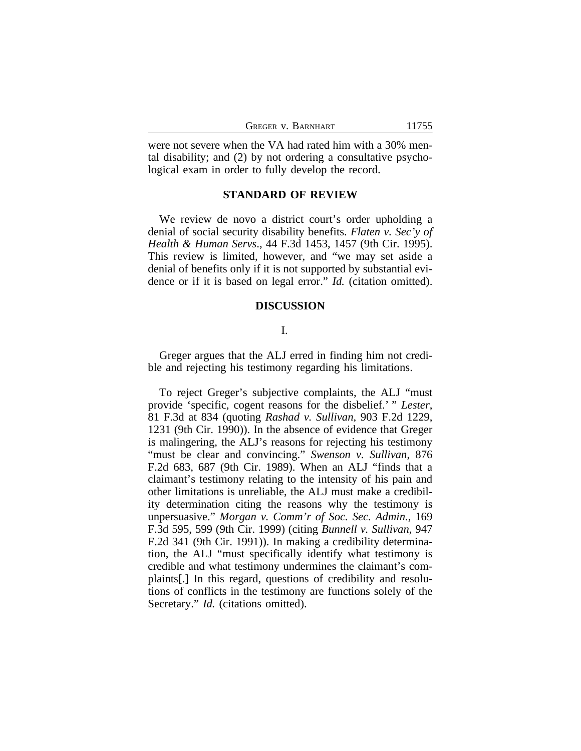| GREGER V. BARNHART | 11755 |
|--------------------|-------|
|                    |       |

were not severe when the VA had rated him with a 30% mental disability; and (2) by not ordering a consultative psychological exam in order to fully develop the record.

## **STANDARD OF REVIEW**

We review de novo a district court's order upholding a denial of social security disability benefits. *Flaten v. Sec'y of Health & Human Servs*., 44 F.3d 1453, 1457 (9th Cir. 1995). This review is limited, however, and "we may set aside a denial of benefits only if it is not supported by substantial evidence or if it is based on legal error." *Id.* (citation omitted).

#### **DISCUSSION**

## I.

Greger argues that the ALJ erred in finding him not credible and rejecting his testimony regarding his limitations.

To reject Greger's subjective complaints, the ALJ "must provide 'specific, cogent reasons for the disbelief.' " *Lester*, 81 F.3d at 834 (quoting *Rashad v. Sullivan*, 903 F.2d 1229, 1231 (9th Cir. 1990)). In the absence of evidence that Greger is malingering, the ALJ's reasons for rejecting his testimony "must be clear and convincing." *Swenson v. Sullivan*, 876 F.2d 683, 687 (9th Cir. 1989). When an ALJ "finds that a claimant's testimony relating to the intensity of his pain and other limitations is unreliable, the ALJ must make a credibility determination citing the reasons why the testimony is unpersuasive." *Morgan v. Comm'r of Soc. Sec. Admin.*, 169 F.3d 595, 599 (9th Cir. 1999) (citing *Bunnell v. Sullivan*, 947 F.2d 341 (9th Cir. 1991)). In making a credibility determination, the ALJ "must specifically identify what testimony is credible and what testimony undermines the claimant's complaints[.] In this regard, questions of credibility and resolutions of conflicts in the testimony are functions solely of the Secretary." *Id.* (citations omitted).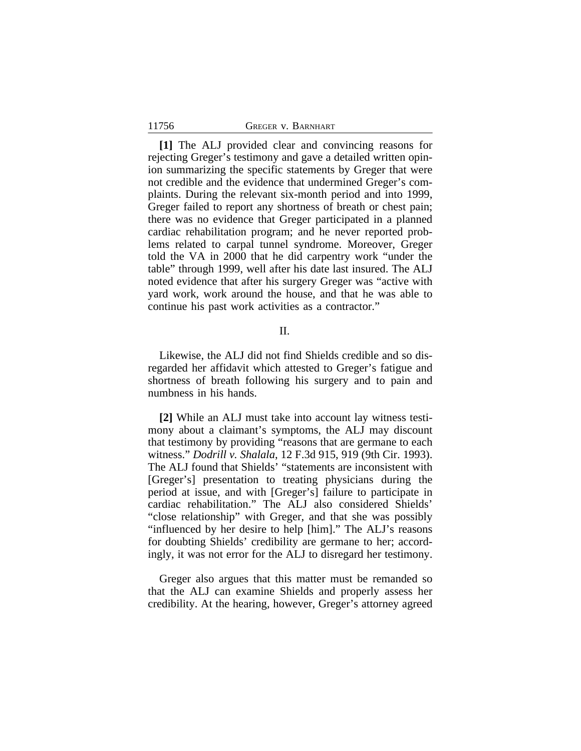#### 11756 GREGER v. BARNHART

**[1]** The ALJ provided clear and convincing reasons for rejecting Greger's testimony and gave a detailed written opinion summarizing the specific statements by Greger that were not credible and the evidence that undermined Greger's complaints. During the relevant six-month period and into 1999, Greger failed to report any shortness of breath or chest pain; there was no evidence that Greger participated in a planned cardiac rehabilitation program; and he never reported problems related to carpal tunnel syndrome. Moreover, Greger told the VA in 2000 that he did carpentry work "under the table" through 1999, well after his date last insured. The ALJ noted evidence that after his surgery Greger was "active with yard work, work around the house, and that he was able to continue his past work activities as a contractor."

### II.

Likewise, the ALJ did not find Shields credible and so disregarded her affidavit which attested to Greger's fatigue and shortness of breath following his surgery and to pain and numbness in his hands.

**[2]** While an ALJ must take into account lay witness testimony about a claimant's symptoms, the ALJ may discount that testimony by providing "reasons that are germane to each witness." *Dodrill v. Shalala*, 12 F.3d 915, 919 (9th Cir. 1993). The ALJ found that Shields' "statements are inconsistent with [Greger's] presentation to treating physicians during the period at issue, and with [Greger's] failure to participate in cardiac rehabilitation." The ALJ also considered Shields' "close relationship" with Greger, and that she was possibly "influenced by her desire to help [him]." The ALJ's reasons for doubting Shields' credibility are germane to her; accordingly, it was not error for the ALJ to disregard her testimony.

Greger also argues that this matter must be remanded so that the ALJ can examine Shields and properly assess her credibility. At the hearing, however, Greger's attorney agreed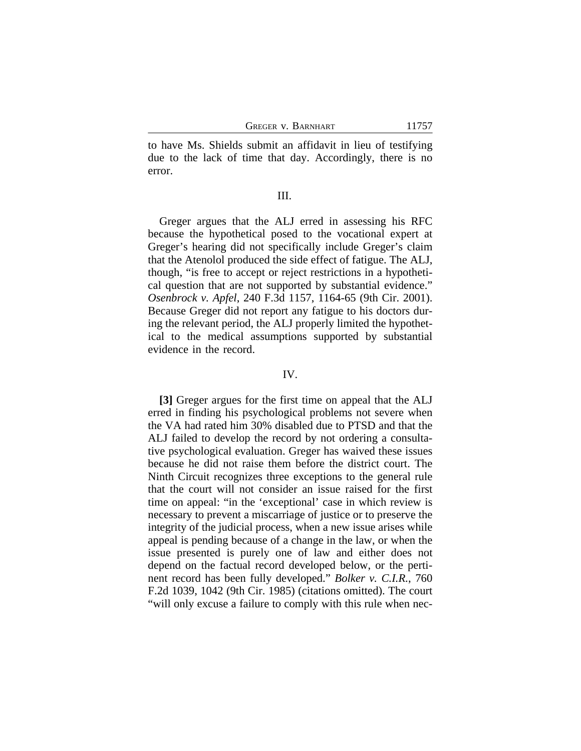to have Ms. Shields submit an affidavit in lieu of testifying due to the lack of time that day. Accordingly, there is no error.

#### III.

Greger argues that the ALJ erred in assessing his RFC because the hypothetical posed to the vocational expert at Greger's hearing did not specifically include Greger's claim that the Atenolol produced the side effect of fatigue. The ALJ, though, "is free to accept or reject restrictions in a hypothetical question that are not supported by substantial evidence." *Osenbrock v. Apfel*, 240 F.3d 1157, 1164-65 (9th Cir. 2001). Because Greger did not report any fatigue to his doctors during the relevant period, the ALJ properly limited the hypothetical to the medical assumptions supported by substantial evidence in the record.

#### IV.

**[3]** Greger argues for the first time on appeal that the ALJ erred in finding his psychological problems not severe when the VA had rated him 30% disabled due to PTSD and that the ALJ failed to develop the record by not ordering a consultative psychological evaluation. Greger has waived these issues because he did not raise them before the district court. The Ninth Circuit recognizes three exceptions to the general rule that the court will not consider an issue raised for the first time on appeal: "in the 'exceptional' case in which review is necessary to prevent a miscarriage of justice or to preserve the integrity of the judicial process, when a new issue arises while appeal is pending because of a change in the law, or when the issue presented is purely one of law and either does not depend on the factual record developed below, or the pertinent record has been fully developed." *Bolker v. C.I.R.*, 760 F.2d 1039, 1042 (9th Cir. 1985) (citations omitted). The court "will only excuse a failure to comply with this rule when nec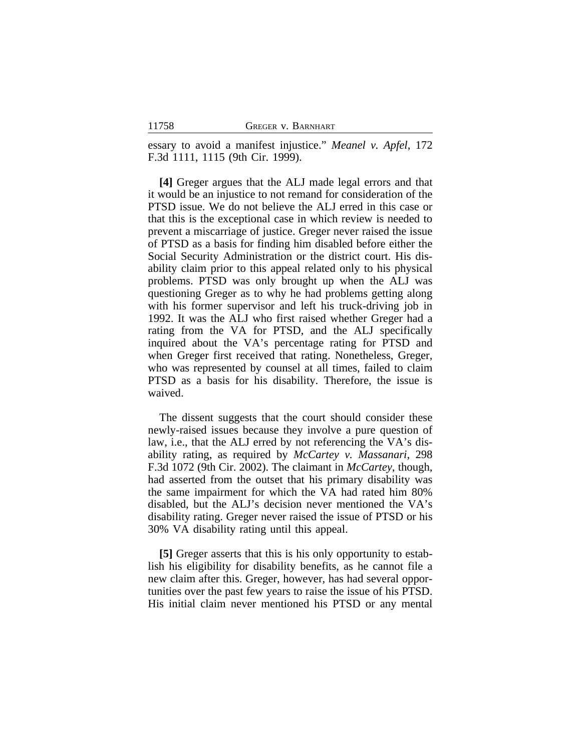essary to avoid a manifest injustice." *Meanel v. Apfel*, 172 F.3d 1111, 1115 (9th Cir. 1999).

**[4]** Greger argues that the ALJ made legal errors and that it would be an injustice to not remand for consideration of the PTSD issue. We do not believe the ALJ erred in this case or that this is the exceptional case in which review is needed to prevent a miscarriage of justice. Greger never raised the issue of PTSD as a basis for finding him disabled before either the Social Security Administration or the district court. His disability claim prior to this appeal related only to his physical problems. PTSD was only brought up when the ALJ was questioning Greger as to why he had problems getting along with his former supervisor and left his truck-driving job in 1992. It was the ALJ who first raised whether Greger had a rating from the VA for PTSD, and the ALJ specifically inquired about the VA's percentage rating for PTSD and when Greger first received that rating. Nonetheless, Greger, who was represented by counsel at all times, failed to claim PTSD as a basis for his disability. Therefore, the issue is waived.

The dissent suggests that the court should consider these newly-raised issues because they involve a pure question of law, i.e., that the ALJ erred by not referencing the VA's disability rating, as required by *McCartey v. Massanari*, 298 F.3d 1072 (9th Cir. 2002). The claimant in *McCartey*, though, had asserted from the outset that his primary disability was the same impairment for which the VA had rated him 80% disabled, but the ALJ's decision never mentioned the VA's disability rating. Greger never raised the issue of PTSD or his 30% VA disability rating until this appeal.

**[5]** Greger asserts that this is his only opportunity to establish his eligibility for disability benefits, as he cannot file a new claim after this. Greger, however, has had several opportunities over the past few years to raise the issue of his PTSD. His initial claim never mentioned his PTSD or any mental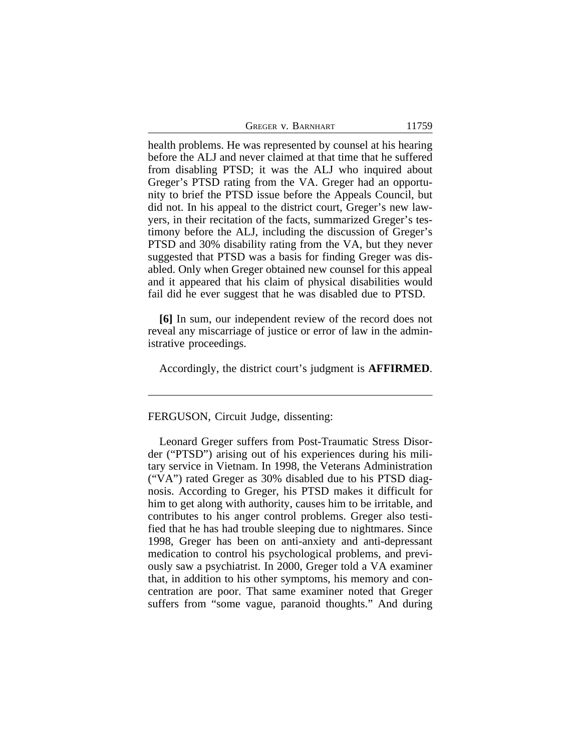| GREGER V. BARNHART | 11759 |
|--------------------|-------|
|--------------------|-------|

health problems. He was represented by counsel at his hearing before the ALJ and never claimed at that time that he suffered from disabling PTSD; it was the ALJ who inquired about Greger's PTSD rating from the VA. Greger had an opportunity to brief the PTSD issue before the Appeals Council, but did not. In his appeal to the district court, Greger's new lawyers, in their recitation of the facts, summarized Greger's testimony before the ALJ, including the discussion of Greger's PTSD and 30% disability rating from the VA, but they never suggested that PTSD was a basis for finding Greger was disabled. Only when Greger obtained new counsel for this appeal and it appeared that his claim of physical disabilities would fail did he ever suggest that he was disabled due to PTSD.

**[6]** In sum, our independent review of the record does not reveal any miscarriage of justice or error of law in the administrative proceedings.

Accordingly, the district court's judgment is **AFFIRMED**.

## FERGUSON, Circuit Judge, dissenting:

Leonard Greger suffers from Post-Traumatic Stress Disorder ("PTSD") arising out of his experiences during his military service in Vietnam. In 1998, the Veterans Administration ("VA") rated Greger as 30% disabled due to his PTSD diagnosis. According to Greger, his PTSD makes it difficult for him to get along with authority, causes him to be irritable, and contributes to his anger control problems. Greger also testified that he has had trouble sleeping due to nightmares. Since 1998, Greger has been on anti-anxiety and anti-depressant medication to control his psychological problems, and previously saw a psychiatrist. In 2000, Greger told a VA examiner that, in addition to his other symptoms, his memory and concentration are poor. That same examiner noted that Greger suffers from "some vague, paranoid thoughts." And during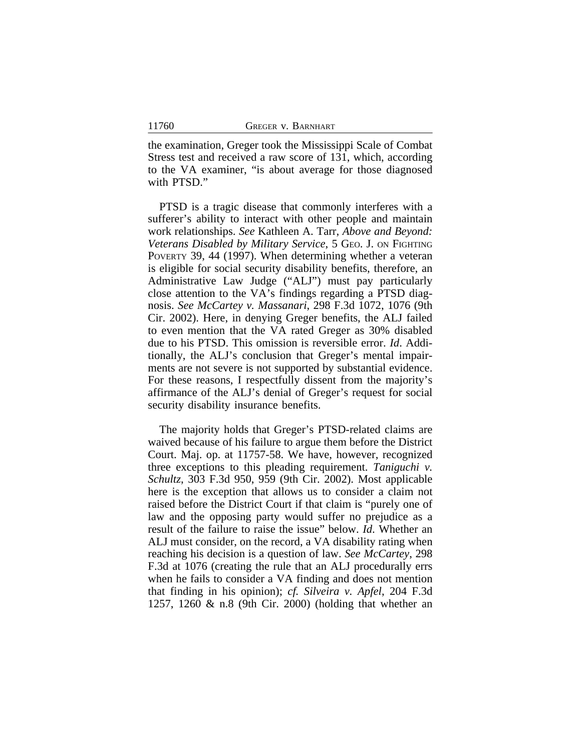the examination, Greger took the Mississippi Scale of Combat Stress test and received a raw score of 131, which, according to the VA examiner, "is about average for those diagnosed with PTSD."

PTSD is a tragic disease that commonly interferes with a sufferer's ability to interact with other people and maintain work relationships. *See* Kathleen A. Tarr, *Above and Beyond: Veterans Disabled by Military Service*, 5 GEO. J. ON FIGHTING POVERTY 39, 44 (1997). When determining whether a veteran is eligible for social security disability benefits, therefore, an Administrative Law Judge ("ALJ") must pay particularly close attention to the VA's findings regarding a PTSD diagnosis. *See McCartey v. Massanari*, 298 F.3d 1072, 1076 (9th Cir. 2002). Here, in denying Greger benefits, the ALJ failed to even mention that the VA rated Greger as 30% disabled due to his PTSD. This omission is reversible error. *Id*. Additionally, the ALJ's conclusion that Greger's mental impairments are not severe is not supported by substantial evidence. For these reasons, I respectfully dissent from the majority's affirmance of the ALJ's denial of Greger's request for social security disability insurance benefits.

The majority holds that Greger's PTSD-related claims are waived because of his failure to argue them before the District Court. Maj. op. at 11757-58. We have, however, recognized three exceptions to this pleading requirement. *Taniguchi v. Schultz*, 303 F.3d 950, 959 (9th Cir. 2002). Most applicable here is the exception that allows us to consider a claim not raised before the District Court if that claim is "purely one of law and the opposing party would suffer no prejudice as a result of the failure to raise the issue" below. *Id*. Whether an ALJ must consider, on the record, a VA disability rating when reaching his decision is a question of law. *See McCartey*, 298 F.3d at 1076 (creating the rule that an ALJ procedurally errs when he fails to consider a VA finding and does not mention that finding in his opinion); *cf. Silveira v. Apfel*, 204 F.3d 1257, 1260 & n.8 (9th Cir. 2000) (holding that whether an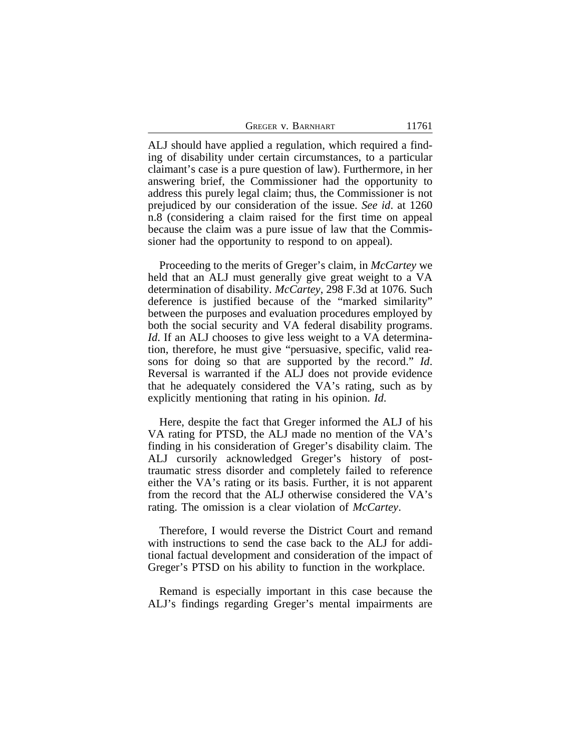ALJ should have applied a regulation, which required a finding of disability under certain circumstances, to a particular claimant's case is a pure question of law). Furthermore, in her answering brief, the Commissioner had the opportunity to address this purely legal claim; thus, the Commissioner is not prejudiced by our consideration of the issue. *See id*. at 1260 n.8 (considering a claim raised for the first time on appeal because the claim was a pure issue of law that the Commissioner had the opportunity to respond to on appeal).

Proceeding to the merits of Greger's claim, in *McCartey* we held that an ALJ must generally give great weight to a VA determination of disability. *McCartey*, 298 F.3d at 1076. Such deference is justified because of the "marked similarity" between the purposes and evaluation procedures employed by both the social security and VA federal disability programs. *Id*. If an ALJ chooses to give less weight to a VA determination, therefore, he must give "persuasive, specific, valid reasons for doing so that are supported by the record." *Id*. Reversal is warranted if the ALJ does not provide evidence that he adequately considered the VA's rating, such as by explicitly mentioning that rating in his opinion. *Id*.

Here, despite the fact that Greger informed the ALJ of his VA rating for PTSD, the ALJ made no mention of the VA's finding in his consideration of Greger's disability claim. The ALJ cursorily acknowledged Greger's history of posttraumatic stress disorder and completely failed to reference either the VA's rating or its basis. Further, it is not apparent from the record that the ALJ otherwise considered the VA's rating. The omission is a clear violation of *McCartey*.

Therefore, I would reverse the District Court and remand with instructions to send the case back to the ALJ for additional factual development and consideration of the impact of Greger's PTSD on his ability to function in the workplace.

Remand is especially important in this case because the ALJ's findings regarding Greger's mental impairments are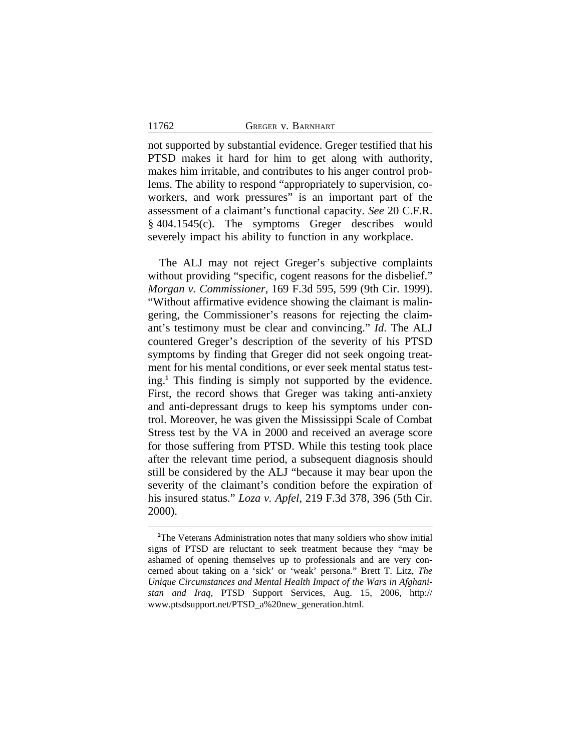#### 11762 **GREGER V. BARNHART**

not supported by substantial evidence. Greger testified that his PTSD makes it hard for him to get along with authority, makes him irritable, and contributes to his anger control problems. The ability to respond "appropriately to supervision, coworkers, and work pressures" is an important part of the assessment of a claimant's functional capacity. *See* 20 C.F.R. § 404.1545(c). The symptoms Greger describes would severely impact his ability to function in any workplace.

The ALJ may not reject Greger's subjective complaints without providing "specific, cogent reasons for the disbelief." *Morgan v. Commissioner*, 169 F.3d 595, 599 (9th Cir. 1999). "Without affirmative evidence showing the claimant is malingering, the Commissioner's reasons for rejecting the claimant's testimony must be clear and convincing." *Id*. The ALJ countered Greger's description of the severity of his PTSD symptoms by finding that Greger did not seek ongoing treatment for his mental conditions, or ever seek mental status testing.**<sup>1</sup>** This finding is simply not supported by the evidence. First, the record shows that Greger was taking anti-anxiety and anti-depressant drugs to keep his symptoms under control. Moreover, he was given the Mississippi Scale of Combat Stress test by the VA in 2000 and received an average score for those suffering from PTSD. While this testing took place after the relevant time period, a subsequent diagnosis should still be considered by the ALJ "because it may bear upon the severity of the claimant's condition before the expiration of his insured status." *Loza v. Apfel*, 219 F.3d 378, 396 (5th Cir. 2000).

<sup>&</sup>lt;sup>1</sup>The Veterans Administration notes that many soldiers who show initial signs of PTSD are reluctant to seek treatment because they "may be ashamed of opening themselves up to professionals and are very concerned about taking on a 'sick' or 'weak' persona." Brett T. Litz, *The Unique Circumstances and Mental Health Impact of the Wars in Afghanistan and Iraq*, PTSD Support Services, Aug. 15, 2006, http:// www.ptsdsupport.net/PTSD\_a%20new\_generation.html.